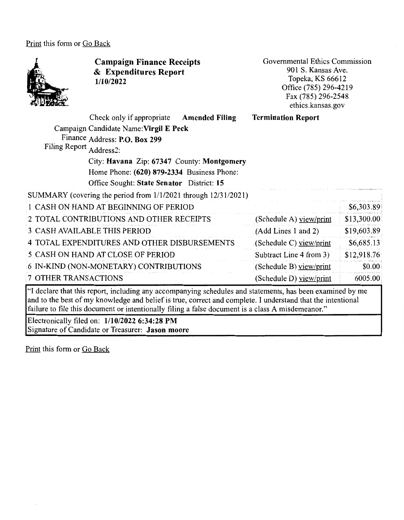Print this form or Go Back



**Campaign Finance Receipts**  & **Expenditures Report 1/10/2022** 

Governmental Ethics Commission 901 S. Kansas Ave. Topeka, KS 66612 Office (785) 296-4219 Fax (785) 296-2548 ethics.kansas.gov

| Filing Report Address2: | Check only if appropriate<br>Campaign Candidate Name: Virgil E Peck<br>Finance Address: P.O. Box 299<br>City: Havana Zip: 67347 County: Montgomery<br>Home Phone: (620) 879-2334 Business Phone: | <b>Amended Filing</b> | <b>Termination Report</b> |             |
|-------------------------|--------------------------------------------------------------------------------------------------------------------------------------------------------------------------------------------------|-----------------------|---------------------------|-------------|
|                         | Office Sought: State Senator District: 15<br>SUMMARY (covering the period from 1/1/2021 through 12/31/2021)                                                                                      |                       |                           |             |
|                         | 1 CASH ON HAND AT BEGINNING OF PERIOD                                                                                                                                                            |                       |                           | \$6,303.89  |
|                         | 2 TOTAL CONTRIBUTIONS AND OTHER RECEIPTS                                                                                                                                                         |                       | (Schedule A) view/print   | \$13,300.00 |
|                         | 3 CASH AVAILABLE THIS PERIOD                                                                                                                                                                     |                       | (Add Lines 1 and 2)       | \$19,603.89 |
|                         | 4 TOTAL EXPENDITURES AND OTHER DISBURSEMENTS                                                                                                                                                     |                       | (Schedule C) $view/print$ | \$6,685.13  |
|                         | 5 CASH ON HAND AT CLOSE OF PERIOD                                                                                                                                                                |                       | Subtract Line 4 from 3)   | \$12,918.76 |
|                         | 6 IN-KIND (NON-MONETARY) CONTRIBUTIONS                                                                                                                                                           |                       | (Schedule B) view/print   | \$0.00      |
| 7 OTHER TRANSACTIONS    |                                                                                                                                                                                                  |                       | (Schedule D) view/print   | 6005.00     |
|                         | 64 Marshama al-aa al-da waxa waa duu duu dheer amaa                                                                                                                                              |                       |                           | .           |

"I declare that this report, including any accompanying schedules and statements, has been examined by me and to the best of my knowledge and belief is true, correct and complete. I understand that the intentional failure to file this document or intentionally filing a false document is a class A misdemeanor."

Electronically filed on: **1/10/2022 6:34:28 PM**  Signature of Candidate or Treasurer: **Jason moore**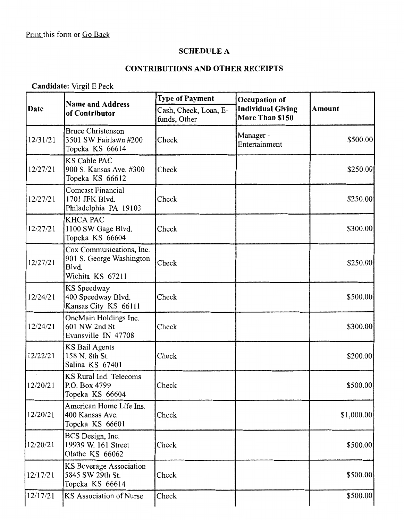## **SCHEDULE A**

# **CONTRIBUTIONS AND OTHER RECEIPTS**

# **Candidate:** Virgil E Peck

| Date     | <b>Name and Address</b><br>of Contributor                                         | <b>Type of Payment</b>                | Occupation of                               |               |
|----------|-----------------------------------------------------------------------------------|---------------------------------------|---------------------------------------------|---------------|
|          |                                                                                   | Cash, Check, Loan, E-<br>funds, Other | <b>Individual Giving</b><br>More Than \$150 | <b>Amount</b> |
| 12/31/21 | <b>Bruce Christenson</b><br>3501 SW Fairlawn #200<br>Topeka KS 66614              | Check                                 | Manager -<br>Entertainment                  | \$500.00      |
| 12/27/21 | <b>KS Cable PAC</b><br>900 S. Kansas Ave. #300<br>Topeka KS 66612                 | Check                                 |                                             | \$250.00      |
| 12/27/21 | <b>Comcast Financial</b><br>1701 JFK Blvd.<br>Philadelphia PA 19103               | Check                                 |                                             | \$250.00      |
| 12/27/21 | <b>KHCA PAC</b><br>1100 SW Gage Blvd.<br>Topeka KS 66604                          | Check                                 |                                             | \$300.00      |
| 12/27/21 | Cox Communications, Inc.<br>901 S. George Washington<br>Blvd.<br>Wichita KS 67211 | Check                                 |                                             | \$250.00      |
| 12/24/21 | KS Speedway<br>400 Speedway Blvd.<br>Kansas City KS 66111                         | Check                                 |                                             | \$500.00      |
| 12/24/21 | OneMain Holdings Inc.<br>601 NW 2nd St<br>Evansville IN 47708                     | Check                                 |                                             | \$300.00      |
| 12/22/21 | <b>KS Bail Agents</b><br>158 N. 8th St.<br>Salina KS 67401                        | Check                                 |                                             | \$200.00      |
| 12/20/21 | KS Rural Ind. Telecoms<br>P.O. Box 4799<br>Topeka KS 66604                        | Check                                 |                                             | \$500.00      |
| 12/20/21 | American Home Life Ins.<br>400 Kansas Ave.<br>Topeka KS 66601                     | Check                                 |                                             | \$1,000.00    |
| 12/20/21 | BCS Design, Inc.<br>19939 W. 161 Street<br>Olathe KS 66062                        | Check                                 |                                             | \$500.00      |
| 12/17/21 | KS Beverage Association<br>5845 SW 29th St.<br>Topeka KS 66614                    | Check                                 |                                             | \$500.00      |
| 12/17/21 | KS Association of Nurse                                                           | Check                                 |                                             | \$500.00      |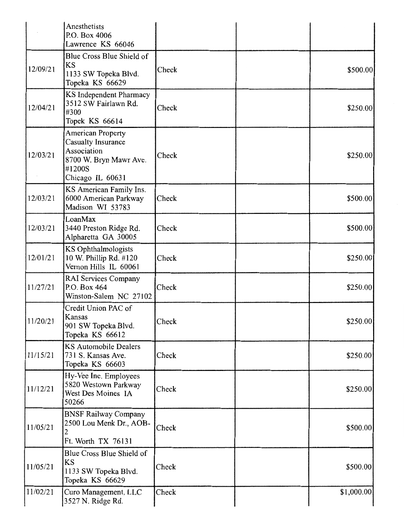|          | Anesthetists<br>P.O. Box 4006<br>Lawrence KS 66046                                                                    |       |            |
|----------|-----------------------------------------------------------------------------------------------------------------------|-------|------------|
| 12/09/21 | Blue Cross Blue Shield of<br>KS<br>1133 SW Topeka Blvd.<br>Topeka KS 66629                                            | Check | \$500.00   |
| 12/04/21 | KS Independent Pharmacy<br>3512 SW Fairlawn Rd.<br>#300<br>Topek KS 66614                                             | Check | \$250.00   |
| 12/03/21 | <b>American Property</b><br>Casualty Insurance<br>Association<br>8700 W. Bryn Mawr Ave.<br>#1200S<br>Chicago IL 60631 | Check | \$250.00   |
| 12/03/21 | KS American Family Ins.<br>6000 American Parkway<br>Madison WI 53783                                                  | Check | \$500.00   |
| 12/03/21 | LoanMax<br>3440 Preston Ridge Rd.<br>Alpharetta GA 30005                                                              | Check | \$500.00   |
| 12/01/21 | KS Ophthalmologists<br>10 W. Phillip Rd. #120<br>Vernon Hills IL 60061                                                | Check | \$250.00   |
| 11/27/21 | RAI Services Company<br>P.O. Box 464<br>Winston-Salem NC 27102                                                        | Check | \$250.00   |
| 11/20/21 | Credit Union PAC of<br>Kansas<br>901 SW Topeka Blvd.<br>Topeka KS 66612                                               | Check | \$250.00   |
| 11/15/21 | <b>KS Automobile Dealers</b><br>731 S. Kansas Ave.<br>Topeka KS 66603                                                 | Check | \$250.00   |
| 11/12/21 | Hy-Vee Inc. Employees<br>5820 Westown Parkway<br>West Des Moines IA<br>50266                                          | Check | \$250.00   |
| 11/05/21 | <b>BNSF Railway Company</b><br>2500 Lou Menk Dr., AOB-<br>Ft. Worth TX 76131                                          | Check | \$500.00   |
| 11/05/21 | Blue Cross Blue Shield of<br>KS<br>1133 SW Topeka Blvd.<br>Topeka KS 66629                                            | Check | \$500.00   |
| 11/02/21 | Curo Management, LLC<br>3527 N. Ridge Rd.                                                                             | Check | \$1,000.00 |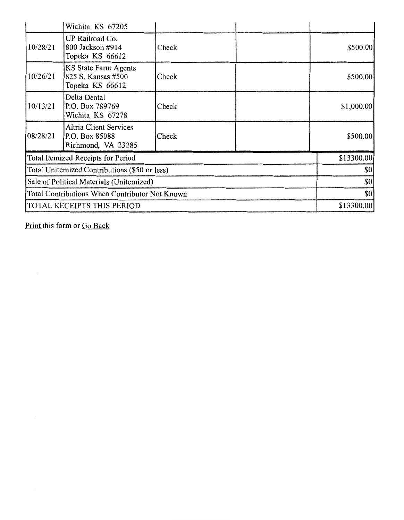|                                                | Wichita KS 67205                                                      |       |            |             |
|------------------------------------------------|-----------------------------------------------------------------------|-------|------------|-------------|
| 10/28/21                                       | UP Railroad Co.<br>800 Jackson #914<br>Topeka KS 66612                | Check |            | \$500.00    |
| 10/26/21                                       | KS State Farm Agents<br>825 S. Kansas #500<br>Topeka KS 66612         | Check |            | \$500.00    |
| 10/13/21                                       | Delta Dental<br>P.O. Box 789769<br>Wichita KS 67278                   | Check |            | \$1,000.00] |
| 08/28/21                                       | <b>Altria Client Services</b><br>P.O. Box 85088<br>Richmond, VA 23285 | Check |            | \$500.00    |
| Total Itemized Receipts for Period             |                                                                       |       | \$13300.00 |             |
| Total Unitemized Contributions (\$50 or less)  |                                                                       |       | \$0        |             |
| Sale of Political Materials (Unitemized)       |                                                                       |       | \$0        |             |
| Total Contributions When Contributor Not Known |                                                                       |       | \$0        |             |
| TOTAL RECEIPTS THIS PERIOD                     |                                                                       |       | \$13300.00 |             |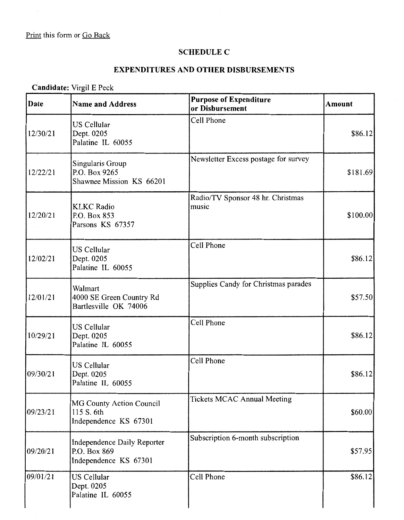### **SCHEDULE C**

### **EXPENDITURES AND OTHER DISBURSEMENTS**

# **Candidate:** Virgil E Peck

| Date      | <b>Name and Address</b>                                              | <b>Purpose of Expenditure</b><br>or Disbursement | <b>Amount</b> |
|-----------|----------------------------------------------------------------------|--------------------------------------------------|---------------|
| 12/30/21  | <b>US Cellular</b><br>Dept. 0205<br>Palatine IL 60055                | Cell Phone                                       | \$86.12       |
| 12/22/21  | Singularis Group<br>P.O. Box 9265<br>Shawnee Mission KS 66201        | Newsletter Excess postage for survey             | \$181.69      |
| 12/20/21  | <b>KLKC</b> Radio<br>P.O. Box 853<br>Parsons KS 67357                | Radio/TV Sponsor 48 hr. Christmas<br>music       | \$100.00]     |
| 12/02/21  | <b>US</b> Cellular<br>Dept. 0205<br>Palatine IL 60055                | Cell Phone                                       | \$86.12       |
| 12/01/21  | Walmart<br>4000 SE Green Country Rd<br>Bartlesville OK 74006         | Supplies Candy for Christmas parades             | \$57.50       |
| 10/29/21  | <b>US Cellular</b><br>Dept. 0205<br>Palatine IL 60055                | Cell Phone                                       | \$86.12       |
| 09/30/21  | <b>US Cellular</b><br>Dept. 0205<br>Palatine IL 60055                | Cell Phone                                       | \$86.12       |
| 109/23/21 | MG County Action Council<br>115 S. 6th<br>Independence KS 67301      | <b>Tickets MCAC Annual Meeting</b>               | \$60.00       |
| 09/20/21  | Independence Daily Reporter<br>P.O. Box 869<br>Independence KS 67301 | Subscription 6-month subscription                | \$57.95       |
| 09/01/21  | <b>US Cellular</b><br>Dept. 0205<br>Palatine IL 60055                | Cell Phone                                       | \$86.12       |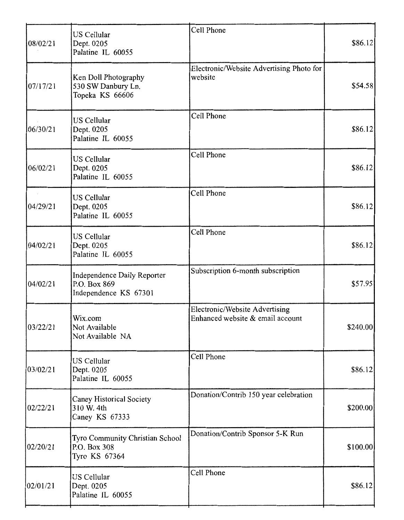| 08/02/21 | US Cellular<br>Dept. 0205<br>Palatine IL 60055                       | Cell Phone                                                         | \$86.12   |
|----------|----------------------------------------------------------------------|--------------------------------------------------------------------|-----------|
| 07/17/21 | Ken Doll Photography<br>530 SW Danbury Ln.<br>Topeka KS 66606        | Electronic/Website Advertising Photo for<br>website                | \$54.58   |
| 06/30/21 | US Cellular<br>Dept. 0205<br>Palatine IL 60055                       | Cell Phone                                                         | \$86.12   |
| 06/02/21 | US Cellular<br>Dept. 0205<br>Palatine IL 60055                       | Cell Phone                                                         | \$86.12   |
| 04/29/21 | <b>US Cellular</b><br>Dept. 0205<br>Palatine IL 60055                | Cell Phone                                                         | \$86.12   |
| 04/02/21 | US Cellular<br>Dept. 0205<br>Palatine IL 60055                       | Cell Phone                                                         | \$86.12   |
| 04/02/21 | Independence Daily Reporter<br>P.O. Box 869<br>Independence KS 67301 | Subscription 6-month subscription                                  | \$57.95   |
| 03/22/21 | Wix.com<br>Not Available<br>Not Available NA                         | Electronic/Website Advertising<br>Enhanced website & email account | \$240.00] |
| 03/02/21 | <b>US Cellular</b><br>Dept. 0205<br>Palatine IL 60055                | Cell Phone                                                         | \$86.12]  |
| 02/22/21 | Caney Historical Society<br>310 W. 4th<br>Caney KS 67333             | Donation/Contrib 150 year celebration                              | \$200.00  |
| 02/20/21 | Tyro Community Christian School<br>P.O. Box 308<br>Tyro KS 67364     | Donation/Contrib Sponsor 5-K Run                                   | \$100.00  |
| 02/01/21 | US Cellular<br>Dept. 0205<br>Palatine IL 60055                       | Cell Phone                                                         | \$86.12   |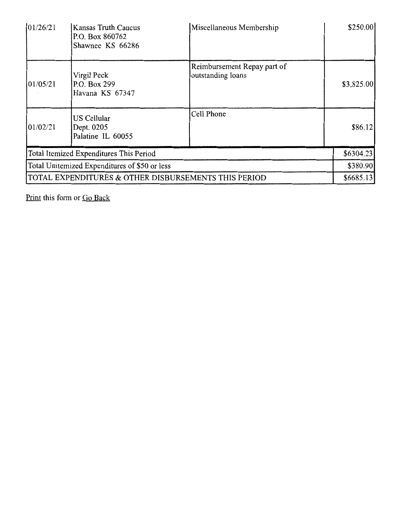| 01/26/21                                      | Kansas Truth Caucus<br>P.O. Box 860762<br>Shawnee KS 66286 | Miscellaneous Membership                         | \$250.00   |
|-----------------------------------------------|------------------------------------------------------------|--------------------------------------------------|------------|
| 101/05/21                                     | Virgil Peck<br>P.O. Box 299<br>Havana KS 67347             | Reimbursement Repay part of<br>outstanding loans | \$3,825.00 |
| 01/02/21                                      | US Cellular<br>Dept. 0205<br>Palatine IL 60055             | Cell Phone                                       | \$86.12    |
| Total Itemized Expenditures This Period       |                                                            |                                                  | \$6304.23  |
| Total Unitemized Expenditures of \$50 or less |                                                            |                                                  | \$380.90   |
|                                               | TOTAL EXPENDITURES & OTHER DISBURSEMENTS THIS PERIOD       |                                                  | \$6685.13  |